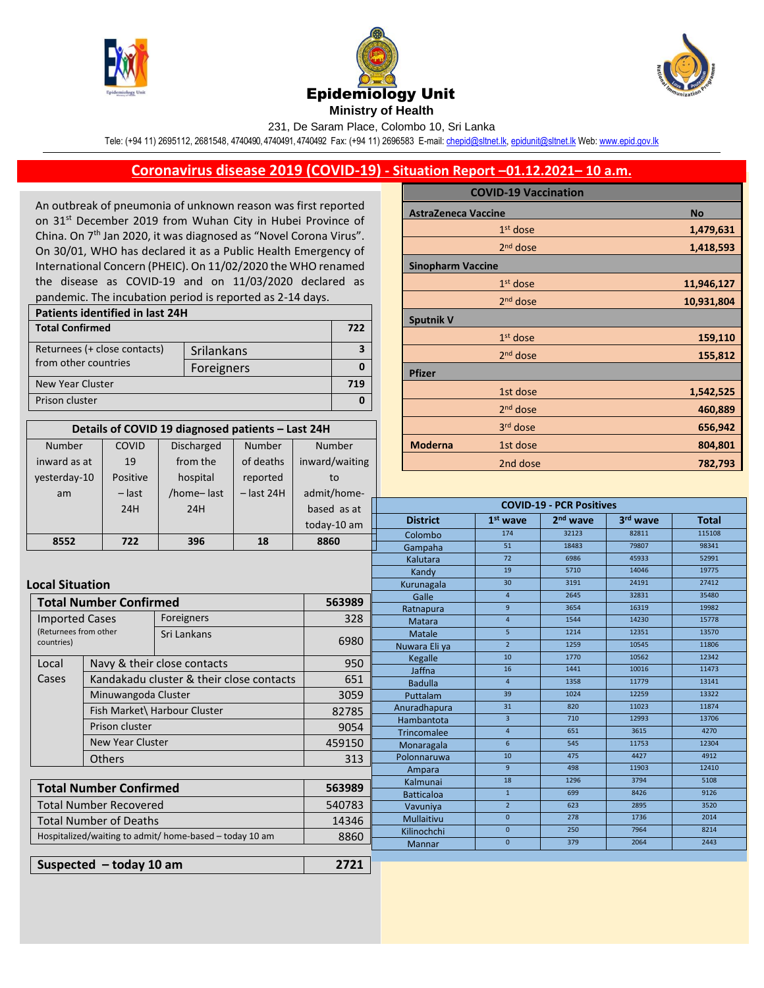

Number

COVID





231, De Saram Place, Colombo 10, Sri Lanka

Tele: (+94 11) 2695112, 2681548, 4740490, 4740491, 4740492 Fax: (+94 11) 2696583 E-mail[: chepid@sltnet.lk,](mailto:chepi@sltnet.lk) [epidunit@sltnet.lk](mailto:epidunit@sltnet.lk) Web[: www.epid.gov.lk](http://www.epid.gov.lk/)

## **Coronavirus disease 2019 (COVID-19) - Situation Report –01.12.2021– 10 a.m.**

An outbreak of pneumonia of unknown reason was first reported on 31<sup>st</sup> December 2019 from Wuhan City in Hubei Province of China. On 7<sup>th</sup> Jan 2020, it was diagnosed as "Novel Corona Virus". On 30/01, WHO has declared it as a Public Health Emergency of International Concern (PHEIC). On 11/02/2020 the WHO renamed the disease as COVID-19 and on 11/03/2020 declared as pandemic. The incubation period is reported as 2-14 days.

| Patients identified in last 24H |            |  |  |  |  |
|---------------------------------|------------|--|--|--|--|
| <b>Total Confirmed</b>          |            |  |  |  |  |
| Returnees (+ close contacts)    | Srilankans |  |  |  |  |
| from other countries            | Foreigners |  |  |  |  |
| New Year Cluster                |            |  |  |  |  |
| Prison cluster                  |            |  |  |  |  |

**Details of COVID 19 diagnosed patients – Last 24H**

Number

Number

Discharged

|                            | <b>COVID-19 Vaccination</b> |            |
|----------------------------|-----------------------------|------------|
| <b>AstraZeneca Vaccine</b> |                             | <b>No</b>  |
|                            | $1st$ dose                  | 1,479,631  |
|                            | $2nd$ dose                  | 1,418,593  |
| <b>Sinopharm Vaccine</b>   |                             |            |
|                            | $1st$ dose                  | 11,946,127 |
|                            | 2 <sup>nd</sup> dose        | 10,931,804 |
| <b>Sputnik V</b>           |                             |            |
|                            | $1st$ dose                  | 159,110    |
|                            | 2 <sup>nd</sup> dose        | 155,812    |
| <b>Pfizer</b>              |                             |            |
|                            | 1st dose                    | 1,542,525  |
|                            | 2 <sup>nd</sup> dose        | 460,889    |
|                            | 3rd dose                    | 656,942    |
| <b>Moderna</b>             | 1st dose                    | 804,801    |
|                            | <b>Cool doco</b>            | כחד רסד    |

| inward as at                                                    | 19                                                  | from the                                 | of deaths    | inward/waiting    |                                 | 2nd dose        |                      | 782,793              |                |                |
|-----------------------------------------------------------------|-----------------------------------------------------|------------------------------------------|--------------|-------------------|---------------------------------|-----------------|----------------------|----------------------|----------------|----------------|
| yesterday-10                                                    | Positive                                            | hospital                                 | reported     | to                |                                 |                 |                      |                      |                |                |
| am                                                              | $-$ last                                            | /home-last                               | $-$ last 24H | admit/home-       |                                 |                 |                      |                      |                |                |
|                                                                 | 24H                                                 | 24H                                      |              | based as at       | <b>COVID-19 - PCR Positives</b> |                 |                      |                      |                |                |
|                                                                 |                                                     |                                          |              | today-10 am       |                                 | <b>District</b> | $1st$ wave           | 2 <sup>nd</sup> wave | 3rd wave       | <b>Total</b>   |
|                                                                 |                                                     |                                          |              |                   |                                 | Colombo         | 174                  | 32123                | 82811          | 115108         |
| 8552                                                            | 722                                                 | 396                                      | 18           | 8860              |                                 | Gampaha         | 51                   | 18483                | 79807          | 98341          |
|                                                                 |                                                     |                                          |              |                   |                                 | Kalutara        | 72                   | 6986                 | 45933          | 52991          |
|                                                                 |                                                     |                                          |              |                   |                                 | Kandy           | 19                   | 5710                 | 14046          | 19775          |
|                                                                 | <b>Local Situation</b>                              |                                          |              |                   |                                 | Kurunagala      | 30                   | 3191                 | 24191          | 27412          |
|                                                                 | <b>Total Number Confirmed</b><br>563989             |                                          |              |                   |                                 | Galle           | $\overline{4}$       | 2645                 | 32831          | 35480          |
|                                                                 |                                                     |                                          |              |                   |                                 | Ratnapura       | 9 <sup>°</sup>       | 3654                 | 16319          | 19982          |
|                                                                 | Foreigners<br><b>Imported Cases</b>                 |                                          | 328          |                   | Matara                          | $\overline{4}$  | 1544                 | 14230                | 15778          |                |
|                                                                 | (Returnees from other<br>Sri Lankans<br>countries)  |                                          | 6980         |                   | Matale                          | 5 <sup>1</sup>  | 1214                 | 12351                | 13570          |                |
|                                                                 |                                                     |                                          |              |                   | Nuwara Eli ya                   | 2 <sup>1</sup>  | 1259                 | 10545                | 11806          |                |
| Local                                                           | Navy & their close contacts                         |                                          | 950          |                   | Kegalle                         | 10              | 1770                 | 10562                | 12342          |                |
| Cases                                                           |                                                     | Kandakadu cluster & their close contacts |              |                   |                                 | Jaffna          | 16<br>$\overline{4}$ | 1441<br>1358         | 10016<br>11779 | 11473<br>13141 |
|                                                                 |                                                     |                                          |              |                   |                                 | <b>Badulla</b>  | 39                   | 1024                 | 12259          | 13322          |
|                                                                 | Minuwangoda Cluster<br>Fish Market\ Harbour Cluster |                                          | 3059         |                   | Puttalam                        | 31              | 820                  | 11023                | 11874          |                |
|                                                                 |                                                     |                                          | 82785        |                   | Anuradhapura<br>Hambantota      | $\overline{3}$  | 710                  | 12993                | 13706          |                |
| Prison cluster<br><b>New Year Cluster</b>                       |                                                     | 9054                                     |              | Trincomalee       | $\overline{4}$                  | 651             | 3615                 | 4270                 |                |                |
|                                                                 |                                                     | 459150                                   |              | Monaragala        | 6 <sup>1</sup>                  | 545             | 11753                | 12304                |                |                |
|                                                                 | <b>Others</b>                                       |                                          |              | 313               |                                 | Polonnaruwa     | 10                   | 475                  | 4427           | 4912           |
|                                                                 |                                                     |                                          |              |                   | Ampara                          | 9 <sup>°</sup>  | 498                  | 11903                | 12410          |                |
|                                                                 |                                                     |                                          |              |                   | Kalmunai                        | 18              | 1296                 | 3794                 | 5108           |                |
| <b>Total Number Confirmed</b><br>563989                         |                                                     |                                          |              |                   | <b>Batticaloa</b>               | $\mathbf{1}$    | 699                  | 8426                 | 9126           |                |
| <b>Total Number Recovered</b><br>540783                         |                                                     |                                          |              |                   | Vavuniya                        | $2^{\circ}$     | 623                  | 2895                 | 3520           |                |
| <b>Total Number of Deaths</b><br>14346                          |                                                     |                                          |              | <b>Mullaitivu</b> | $\mathbf{0}$                    | 278             | 1736                 | 2014                 |                |                |
| 8860<br>Hospitalized/waiting to admit/ home-based - today 10 am |                                                     |                                          | Kilinochchi  | $\mathbf{0}$      | 250                             | 7964            | 8214                 |                      |                |                |
|                                                                 |                                                     |                                          |              | Mannar            | $\mathbf{0}$                    | 379             | 2064                 | 2443                 |                |                |
|                                                                 |                                                     |                                          |              |                   |                                 |                 |                      |                      |                |                |
| 2721<br>Suspected $-$ today 10 am                               |                                                     |                                          |              |                   |                                 |                 |                      |                      |                |                |